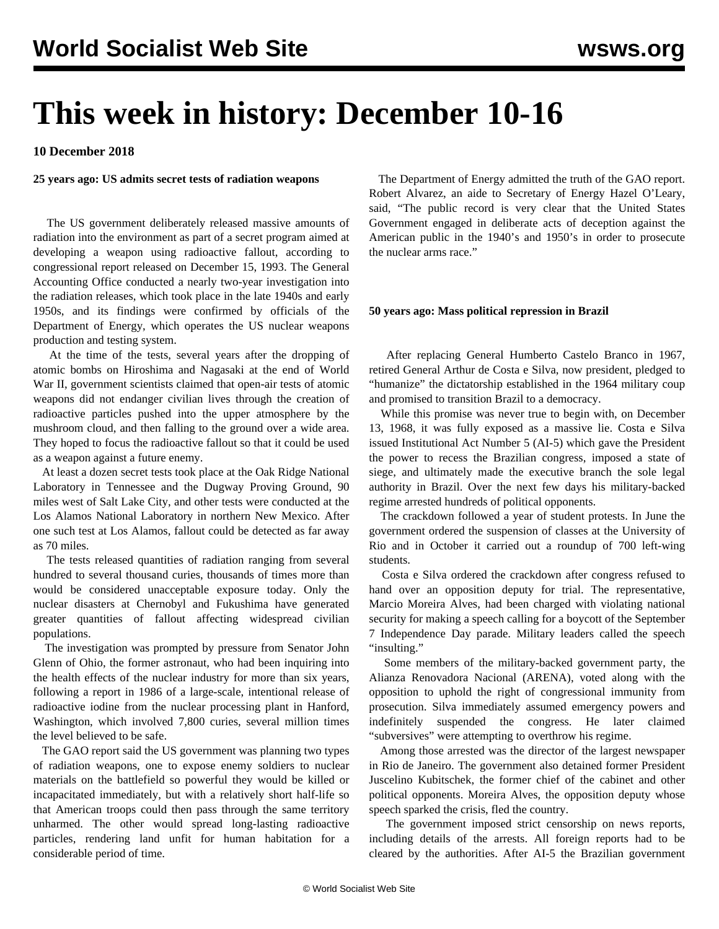# **This week in history: December 10-16**

**10 December 2018**

### **25 years ago: US admits secret tests of radiation weapons**

 The US government deliberately released massive amounts of radiation into the environment as part of a secret program aimed at developing a weapon using radioactive fallout, according to congressional report released on December 15, 1993. The General Accounting Office conducted a nearly two-year investigation into the radiation releases, which took place in the late 1940s and early 1950s, and its findings were confirmed by officials of the Department of Energy, which operates the US nuclear weapons production and testing system.

 At the time of the tests, several years after the dropping of atomic bombs on Hiroshima and Nagasaki at the end of World War II, government scientists claimed that open-air tests of atomic weapons did not endanger civilian lives through the creation of radioactive particles pushed into the upper atmosphere by the mushroom cloud, and then falling to the ground over a wide area. They hoped to focus the radioactive fallout so that it could be used as a weapon against a future enemy.

 At least a dozen secret tests took place at the Oak Ridge National Laboratory in Tennessee and the Dugway Proving Ground, 90 miles west of Salt Lake City, and other tests were conducted at the Los Alamos National Laboratory in northern New Mexico. After one such test at Los Alamos, fallout could be detected as far away as 70 miles.

 The tests released quantities of radiation ranging from several hundred to several thousand curies, thousands of times more than would be considered unacceptable exposure today. Only the nuclear disasters at Chernobyl and Fukushima have generated greater quantities of fallout affecting widespread civilian populations.

 The investigation was prompted by pressure from Senator John Glenn of Ohio, the former astronaut, who had been inquiring into the health effects of the nuclear industry for more than six years, following a report in 1986 of a large-scale, intentional release of radioactive iodine from the nuclear processing plant in Hanford, Washington, which involved 7,800 curies, several million times the level believed to be safe.

 The GAO report said the US government was planning two types of radiation weapons, one to expose enemy soldiers to nuclear materials on the battlefield so powerful they would be killed or incapacitated immediately, but with a relatively short half-life so that American troops could then pass through the same territory unharmed. The other would spread long-lasting radioactive particles, rendering land unfit for human habitation for a considerable period of time.

 The Department of Energy admitted the truth of the GAO report. Robert Alvarez, an aide to Secretary of Energy Hazel O'Leary, said, "The public record is very clear that the United States Government engaged in deliberate acts of deception against the American public in the 1940's and 1950's in order to prosecute the nuclear arms race."

#### **50 years ago: Mass political repression in Brazil**

 After replacing General Humberto Castelo Branco in 1967, retired General Arthur de Costa e Silva, now president, pledged to "humanize" the dictatorship established in the 1964 military coup and promised to transition Brazil to a democracy.

 While this promise was never true to begin with, on December 13, 1968, it was fully exposed as a massive lie. Costa e Silva issued Institutional Act Number 5 (AI-5) which gave the President the power to recess the Brazilian congress, imposed a state of siege, and ultimately made the executive branch the sole legal authority in Brazil. Over the next few days his military-backed regime arrested hundreds of political opponents.

 The crackdown followed a year of student protests. In June the government ordered the suspension of classes at the University of Rio and in October it carried out a roundup of 700 left-wing students.

 Costa e Silva ordered the crackdown after congress refused to hand over an opposition deputy for trial. The representative, Marcio Moreira Alves, had been charged with violating national security for making a speech calling for a boycott of the September 7 Independence Day parade. Military leaders called the speech "insulting."

 Some members of the military-backed government party, the Alianza Renovadora Nacional (ARENA), voted along with the opposition to uphold the right of congressional immunity from prosecution. Silva immediately assumed emergency powers and indefinitely suspended the congress. He later claimed "subversives" were attempting to overthrow his regime.

 Among those arrested was the director of the largest newspaper in Rio de Janeiro. The government also detained former President Juscelino Kubitschek, the former chief of the cabinet and other political opponents. Moreira Alves, the opposition deputy whose speech sparked the crisis, fled the country.

 The government imposed strict censorship on news reports, including details of the arrests. All foreign reports had to be cleared by the authorities. After AI-5 the Brazilian government